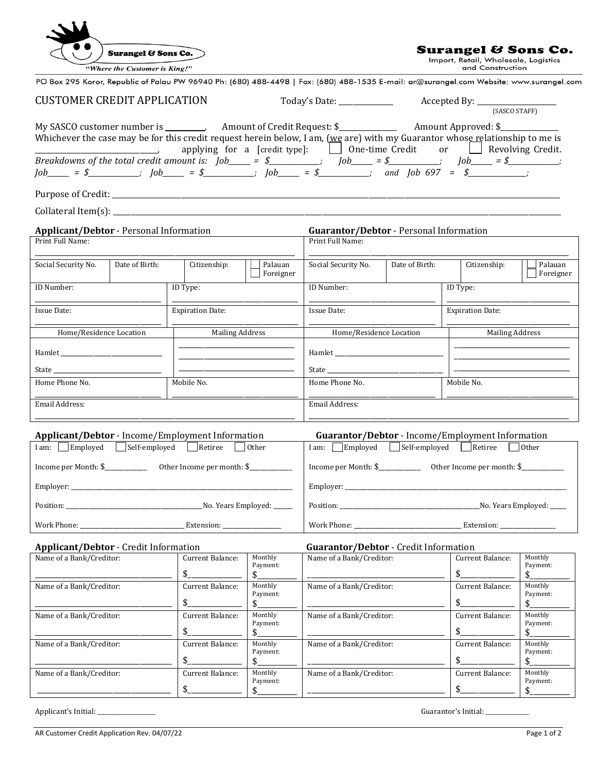|                                                                    | Surangel & Sons Co.           |                            |                         |                                                                                                                                                                                                                                                                                                                                                                                                                                                                                                                                                        |                | Surangel & Sons Co.<br>Import, Retail, Wholesale, Logistics |                         |  |
|--------------------------------------------------------------------|-------------------------------|----------------------------|-------------------------|--------------------------------------------------------------------------------------------------------------------------------------------------------------------------------------------------------------------------------------------------------------------------------------------------------------------------------------------------------------------------------------------------------------------------------------------------------------------------------------------------------------------------------------------------------|----------------|-------------------------------------------------------------|-------------------------|--|
|                                                                    | "Where the Customer is King!" |                            |                         | PO Box 295 Koror, Republic of Palau PW 96940 Ph: (680) 488-4498   Fax: (680) 488-1535 E-mail: ar@surangel.com Website: www.surangel.com                                                                                                                                                                                                                                                                                                                                                                                                                |                | and Construction                                            |                         |  |
|                                                                    |                               |                            |                         |                                                                                                                                                                                                                                                                                                                                                                                                                                                                                                                                                        |                |                                                             |                         |  |
| <b>CUSTOMER CREDIT APPLICATION</b>                                 |                               |                            |                         | (SASCO STAFF)                                                                                                                                                                                                                                                                                                                                                                                                                                                                                                                                          |                |                                                             |                         |  |
|                                                                    |                               |                            |                         | My SASCO customer number is ________. Amount of Credit Request: \$______________<br>Whichever the case may be for this credit request herein below, I am, (we are) with my Guarantor whose relationship to me is<br>applying for a [credit type]: $\Box$ One-time Credit or $\Box$ Revolving Credit.<br><i>Breakdowns of the total credit amount is:</i> $Job \_\_ = \$ $\$ $job \_\_ = \$ $\$ $job \_\_ = \$ $\$ $job \_\_ = \$ $\$ $job \_\_ = \$ $\$ $job \_\_ = \$ $\$ $job \$ $\$ $job \$ $\$ $\$ $job \$ $\$ $\$ $\$ $\$ $job \$ $\$ $\$ $\$ $\$ |                | Amount Approved: \$__________                               |                         |  |
|                                                                    |                               |                            |                         |                                                                                                                                                                                                                                                                                                                                                                                                                                                                                                                                                        |                |                                                             |                         |  |
|                                                                    |                               |                            |                         |                                                                                                                                                                                                                                                                                                                                                                                                                                                                                                                                                        |                |                                                             |                         |  |
| <b>Applicant/Debtor</b> - Personal Information<br>Print Full Name: |                               |                            |                         | Guarantor/Debtor - Personal Information<br>Print Full Name:                                                                                                                                                                                                                                                                                                                                                                                                                                                                                            |                |                                                             |                         |  |
| Social Security No.                                                | Date of Birth:                | Citizenship:               | Palauan<br>Foreigner    | Social Security No.                                                                                                                                                                                                                                                                                                                                                                                                                                                                                                                                    | Date of Birth: | Citizenship:                                                | Palauan<br>Foreigner    |  |
| ID Number:                                                         |                               | ID Type:                   |                         | ID Number:                                                                                                                                                                                                                                                                                                                                                                                                                                                                                                                                             |                | ID Type:                                                    |                         |  |
| Issue Date:                                                        |                               |                            | <b>Expiration Date:</b> |                                                                                                                                                                                                                                                                                                                                                                                                                                                                                                                                                        | Issue Date:    |                                                             | <b>Expiration Date:</b> |  |
| Home/Residence Location                                            |                               | <b>Mailing Address</b>     |                         | Home/Residence Location                                                                                                                                                                                                                                                                                                                                                                                                                                                                                                                                |                | <b>Mailing Address</b>                                      |                         |  |
|                                                                    |                               |                            |                         |                                                                                                                                                                                                                                                                                                                                                                                                                                                                                                                                                        |                |                                                             |                         |  |
|                                                                    |                               |                            |                         |                                                                                                                                                                                                                                                                                                                                                                                                                                                                                                                                                        |                |                                                             |                         |  |
| Home Phone No.                                                     |                               | Mobile No.                 |                         | Home Phone No.                                                                                                                                                                                                                                                                                                                                                                                                                                                                                                                                         |                | Mobile No.                                                  |                         |  |
| Email Address:                                                     |                               |                            |                         | Email Address:                                                                                                                                                                                                                                                                                                                                                                                                                                                                                                                                         |                |                                                             |                         |  |
| <b>Applicant/Debtor</b> - Income/Employment Information            |                               |                            |                         |                                                                                                                                                                                                                                                                                                                                                                                                                                                                                                                                                        |                | Guarantor/Debtor - Income/Employment Information            |                         |  |
| I am: Employed Self-employed Retiree                               |                               |                            | l Other                 | I am: Employed   Self-employed   Retiree<br>  Other                                                                                                                                                                                                                                                                                                                                                                                                                                                                                                    |                |                                                             |                         |  |
| Income per Month: \$_                                              | <u> 1990 - Jan Barnett, f</u> | Other Income per month: \$ |                         |                                                                                                                                                                                                                                                                                                                                                                                                                                                                                                                                                        |                |                                                             |                         |  |
|                                                                    |                               |                            |                         |                                                                                                                                                                                                                                                                                                                                                                                                                                                                                                                                                        |                |                                                             |                         |  |
|                                                                    |                               |                            |                         |                                                                                                                                                                                                                                                                                                                                                                                                                                                                                                                                                        |                |                                                             |                         |  |
|                                                                    |                               |                            |                         |                                                                                                                                                                                                                                                                                                                                                                                                                                                                                                                                                        |                |                                                             |                         |  |
| Applicant/Debtor - Credit Information                              |                               |                            |                         | Guarantor/Debtor - Credit Information                                                                                                                                                                                                                                                                                                                                                                                                                                                                                                                  |                |                                                             |                         |  |
| Name of a Bank/Creditor:                                           |                               | Current Balance:           | Monthly<br>Payment:     | Name of a Bank/Creditor:                                                                                                                                                                                                                                                                                                                                                                                                                                                                                                                               |                | Current Balance:                                            | Monthly<br>Payment:     |  |
|                                                                    |                               | $\frac{1}{2}$              | \$                      |                                                                                                                                                                                                                                                                                                                                                                                                                                                                                                                                                        |                | $\frac{1}{2}$                                               | \$                      |  |
| Name of a Bank/Creditor:                                           |                               | Current Balance:           | Monthly<br>Payment:     | Name of a Bank/Creditor:                                                                                                                                                                                                                                                                                                                                                                                                                                                                                                                               |                | Current Balance:                                            | Monthly<br>Payment:     |  |
|                                                                    |                               | $\frac{1}{2}$              | \$                      |                                                                                                                                                                                                                                                                                                                                                                                                                                                                                                                                                        |                | $\frac{1}{2}$                                               | $\frac{1}{2}$           |  |
| Name of a Bank/Creditor:                                           |                               | Current Balance:           | Monthly<br>Payment:     | Name of a Bank/Creditor:                                                                                                                                                                                                                                                                                                                                                                                                                                                                                                                               |                | Current Balance:                                            | Monthly<br>Payment:     |  |
|                                                                    |                               | $\frac{1}{2}$              | \$_                     |                                                                                                                                                                                                                                                                                                                                                                                                                                                                                                                                                        |                | $\frac{1}{2}$                                               | $\frac{1}{2}$           |  |
| Name of a Bank/Creditor:                                           |                               | Current Balance:           | Monthly<br>Payment:     | Name of a Bank/Creditor:                                                                                                                                                                                                                                                                                                                                                                                                                                                                                                                               |                | Current Balance:                                            | Monthly<br>Payment:     |  |
|                                                                    |                               | $\mathsf{s}$               | \$                      |                                                                                                                                                                                                                                                                                                                                                                                                                                                                                                                                                        |                | $\mathsf{s}$                                                | $\frac{1}{2}$           |  |
| Name of a Bank/Creditor:                                           |                               | Current Balance:           | Monthly<br>Payment:     | Name of a Bank/Creditor:                                                                                                                                                                                                                                                                                                                                                                                                                                                                                                                               |                | Current Balance:                                            | Monthly<br>Payment:     |  |
|                                                                    |                               | $\frac{1}{2}$              | \$.                     |                                                                                                                                                                                                                                                                                                                                                                                                                                                                                                                                                        |                | $\frac{1}{2}$                                               | $\frac{1}{2}$           |  |

 $\bullet$   $\bullet$  $\overline{a}$ 

Applicant's Initial: \_\_\_\_\_\_\_\_\_\_\_\_\_\_\_\_\_\_\_\_ Guarantor's Initial: \_\_\_\_\_\_\_\_\_\_\_\_\_\_\_